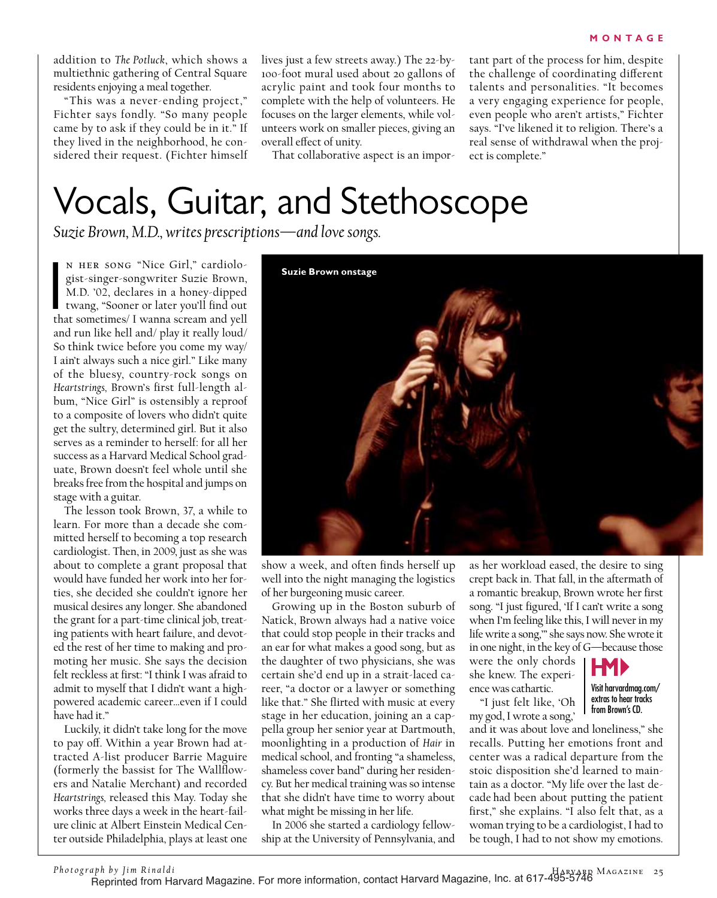addition to *The Potluck*, which shows a multiethnic gathering of Central Square residents enjoying a meal together.

"This was a never-ending project," Fichter says fondly. "So many people came by to ask if they could be in it." If they lived in the neighborhood, he considered their request. (Fichter himself lives just a few streets away.) The 22-by-100-foot mural used about 20 gallons of acrylic paint and took four months to complete with the help of volunteers. He focuses on the larger elements, while volunteers work on smaller pieces, giving an overall effect of unity.

That collaborative aspect is an impor-

tant part of the process for him, despite the challenge of coordinating different talents and personalities. "It becomes a very engaging experience for people, even people who aren't artists," Fichter says. "I've likened it to religion. There's a real sense of withdrawal when the project is complete."

## Vocals, Guitar, and Stethoscope

*Suzie Brown, M.D., writes prescriptions—and love songs.*

N HER SONG "Nice Girl," cardiologist-singer-songwriter Suzie Brown,<br>M.D. '02, declares in a honey-dipped<br>twang, "Sooner or later you'll find out<br>that sometimes/ I wanna scream and yell n her song "Nice Girl," cardiologist-singer-songwriter Suzie Brown, M.D. '02, declares in a honey-dipped twang, "Sooner or later you'll find out and run like hell and/ play it really loud/ So think twice before you come my way/ I ain't always such a nice girl." Like many of the bluesy, country-rock songs on *Heartstrings,* Brown's first full-length album, "Nice Girl" is ostensibly a reproof to a composite of lovers who didn't quite get the sultry, determined girl. But it also serves as a reminder to herself: for all her success as a Harvard Medical School graduate, Brown doesn't feel whole until she breaks free from the hospital and jumps on stage with a guitar.

The lesson took Brown, 37, a while to learn. For more than a decade she committed herself to becoming a top research cardiologist. Then, in 2009, just as she was about to complete a grant proposal that would have funded her work into her forties, she decided she couldn't ignore her musical desires any longer. She abandoned the grant for a part-time clinical job, treating patients with heart failure, and devoted the rest of her time to making and promoting her music. She says the decision felt reckless at first: "I think I was afraid to admit to myself that I didn't want a highpowered academic career…even if I could have had it."

Luckily, it didn't take long for the move to pay off. Within a year Brown had attracted A-list producer Barrie Maguire (formerly the bassist for The Wallflowers and Natalie Merchant) and recorded *Heartstrings,* released this May. Today she works three days a week in the heart-failure clinic at Albert Einstein Medical Center outside Philadelphia, plays at least one



show a week, and often finds herself up well into the night managing the logistics of her burgeoning music career.

Growing up in the Boston suburb of Natick, Brown always had a native voice that could stop people in their tracks and an ear for what makes a good song, but as the daughter of two physicians, she was certain she'd end up in a strait-laced career, "a doctor or a lawyer or something like that." She flirted with music at every stage in her education, joining an a cappella group her senior year at Dartmouth, moonlighting in a production of *Hair* in medical school, and fronting "a shameless, shameless cover band" during her residency. But her medical training was so intense that she didn't have time to worry about what might be missing in her life.

In 2006 she started a cardiology fellowship at the University of Pennsylvania, and

as her workload eased, the desire to sing crept back in. That fall, in the aftermath of a romantic breakup, Brown wrote her first song. "I just figured, 'If I can't write a song when I'm feeling like this, I will never in my life write a song,'" she says now. She wrote it in one night, in the key of G—because those

were the only chords she knew. The experience was cathartic.

"I just felt like, 'Oh my god, I wrote a song,'



Visit harvardmag.com/ extras to hear tracks from Brown's CD.

and it was about love and loneliness," she recalls. Putting her emotions front and center was a radical departure from the stoic disposition she'd learned to maintain as a doctor. "My life over the last decade had been about putting the patient first," she explains. "I also felt that, as a woman trying to be a cardiologist, I had to be tough, I had to not show my emotions.